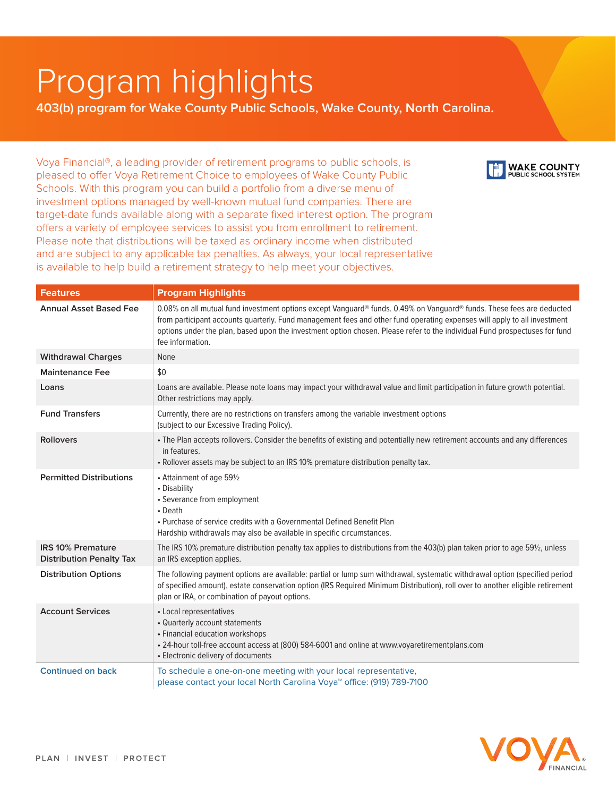## Program highlights

**403(b) program for Wake County Public Schools, Wake County, North Carolina.**

Voya Financial®, a leading provider of retirement programs to public schools, is pleased to offer Voya Retirement Choice to employees of Wake County Public Schools. With this program you can build a portfolio from a diverse menu of investment options managed by well-known mutual fund companies. There are target-date funds available along with a separate fixed interest option. The program offers a variety of employee services to assist you from enrollment to retirement. Please note that distributions will be taxed as ordinary income when distributed and are subject to any applicable tax penalties. As always, your local representative is available to help build a retirement strategy to help meet your objectives.



| <b>Features</b>                                             | <b>Program Highlights</b>                                                                                                                                                                                                                                                                                                                                                                           |  |
|-------------------------------------------------------------|-----------------------------------------------------------------------------------------------------------------------------------------------------------------------------------------------------------------------------------------------------------------------------------------------------------------------------------------------------------------------------------------------------|--|
| <b>Annual Asset Based Fee</b>                               | 0.08% on all mutual fund investment options except Vanguard® funds. 0.49% on Vanguard® funds. These fees are deducted<br>from participant accounts quarterly. Fund management fees and other fund operating expenses will apply to all investment<br>options under the plan, based upon the investment option chosen. Please refer to the individual Fund prospectuses for fund<br>fee information. |  |
| <b>Withdrawal Charges</b>                                   | None                                                                                                                                                                                                                                                                                                                                                                                                |  |
| <b>Maintenance Fee</b>                                      | \$0                                                                                                                                                                                                                                                                                                                                                                                                 |  |
| Loans                                                       | Loans are available. Please note loans may impact your withdrawal value and limit participation in future growth potential.<br>Other restrictions may apply.                                                                                                                                                                                                                                        |  |
| <b>Fund Transfers</b>                                       | Currently, there are no restrictions on transfers among the variable investment options<br>(subject to our Excessive Trading Policy).                                                                                                                                                                                                                                                               |  |
| <b>Rollovers</b>                                            | . The Plan accepts rollovers. Consider the benefits of existing and potentially new retirement accounts and any differences<br>in features.<br>. Rollover assets may be subject to an IRS 10% premature distribution penalty tax.                                                                                                                                                                   |  |
| <b>Permitted Distributions</b>                              | • Attainment of age 591/2<br>• Disability<br>• Severance from employment<br>• Death<br>• Purchase of service credits with a Governmental Defined Benefit Plan<br>Hardship withdrawals may also be available in specific circumstances.                                                                                                                                                              |  |
| <b>IRS 10% Premature</b><br><b>Distribution Penalty Tax</b> | The IRS 10% premature distribution penalty tax applies to distributions from the 403(b) plan taken prior to age 591/2, unless<br>an IRS exception applies.                                                                                                                                                                                                                                          |  |
| <b>Distribution Options</b>                                 | The following payment options are available: partial or lump sum withdrawal, systematic withdrawal option (specified period<br>of specified amount), estate conservation option (IRS Required Minimum Distribution), roll over to another eligible retirement<br>plan or IRA, or combination of payout options.                                                                                     |  |
| <b>Account Services</b>                                     | • Local representatives<br>• Quarterly account statements<br>• Financial education workshops<br>• 24-hour toll-free account access at (800) 584-6001 and online at www.voyaretirementplans.com<br>• Electronic delivery of documents                                                                                                                                                                |  |
| <b>Continued on back</b>                                    | To schedule a one-on-one meeting with your local representative,<br>please contact your local North Carolina Voya <sup>™</sup> office: (919) 789-7100                                                                                                                                                                                                                                               |  |